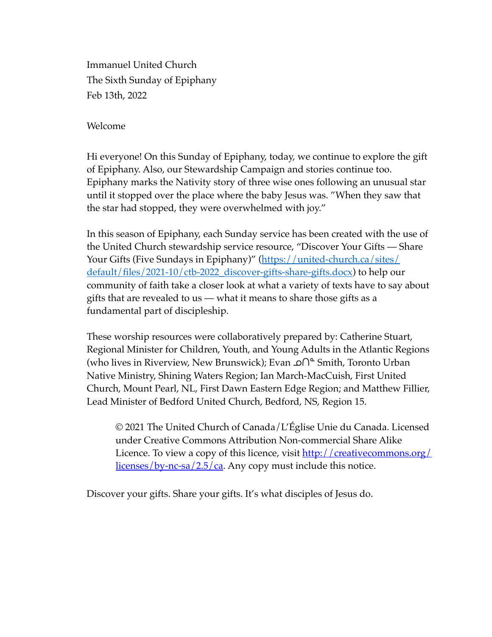Immanuel United Church The Sixth Sunday of Epiphany Feb 13th, 2022

Welcome

Hi everyone! On this Sunday of Epiphany, today, we continue to explore the gift of Epiphany. Also, our Stewardship Campaign and stories continue too. Epiphany marks the Nativity story of three wise ones following an unusual star until it stopped over the place where the baby Jesus was. "When they saw that the star had stopped, they were overwhelmed with joy."

In this season of Epiphany, each Sunday service has been created with the use of the United Church stewardship service resource, "Discover Your Gifts — Share [Your Gifts \(Five Sundays in Epiphany\)" \(https://united-church.ca/sites/](https://united-church.ca/sites/default/files/2021-10/ctb-2022_discover-gifts-share-gifts.docx)  $\frac{default/files/2021-10/ctb-2022}{discover-gifts-share-gifts.docx}$  to help our community of faith take a closer look at what a variety of texts have to say about gifts that are revealed to us — what it means to share those gifts as a fundamental part of discipleship.

These worship resources were collaboratively prepared by: Catherine Stuart, Regional Minister for Children, Youth, and Young Adults in the Atlantic Regions (who lives in Riverview, New Brunswick); Evan **∩**<sup>△</sup> Smith, Toronto Urban Native Ministry, Shining Waters Region; Ian March-MacCuish, First United Church, Mount Pearl, NL, First Dawn Eastern Edge Region; and Matthew Fillier, Lead Minister of Bedford United Church, Bedford, NS, Region 15.

© 2021 The United Church of Canada/L'Église Unie du Canada. Licensed under Creative Commons Attribution Non-commercial Share Alike Licence. To view a copy of this licence, visit [http://creativecommons.org/](http://creativecommons.org/licenses/by-nc-sa/2.5/ca) [licenses/by-nc-sa/2.5/ca.](http://creativecommons.org/licenses/by-nc-sa/2.5/ca) Any copy must include this notice.

Discover your gifts. Share your gifts. It's what disciples of Jesus do.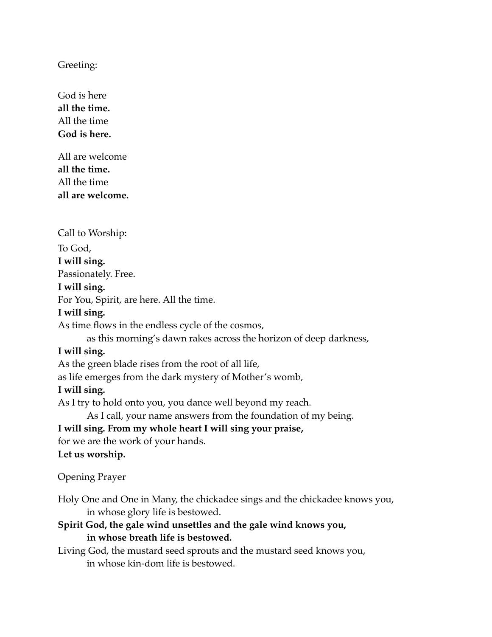Greeting:

God is here **all the time.** All the time **God is here.**

All are welcome **all the time.** All the time **all are welcome.**

Call to Worship: To God, **I will sing.** Passionately. Free. **I will sing.** For You, Spirit, are here. All the time. **I will sing.** As time flows in the endless cycle of the cosmos, as this morning's dawn rakes across the horizon of deep darkness, **I will sing.** As the green blade rises from the root of all life, as life emerges from the dark mystery of Mother's womb, **I will sing.** As I try to hold onto you, you dance well beyond my reach. As I call, your name answers from the foundation of my being. **I will sing. From my whole heart I will sing your praise,** for we are the work of your hands. **Let us worship.**

Opening Prayer

Holy One and One in Many, the chickadee sings and the chickadee knows you, in whose glory life is bestowed.

**Spirit God, the gale wind unsettles and the gale wind knows you, in whose breath life is bestowed.**

Living God, the mustard seed sprouts and the mustard seed knows you, in whose kin-dom life is bestowed.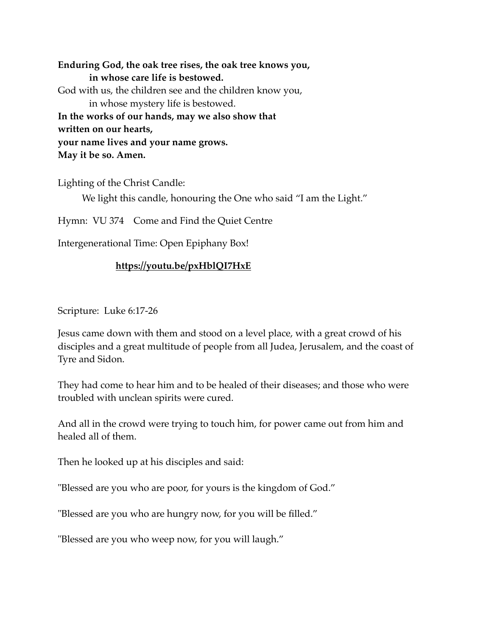**Enduring God, the oak tree rises, the oak tree knows you, in whose care life is bestowed.** God with us, the children see and the children know you, in whose mystery life is bestowed. **In the works of our hands, may we also show that written on our hearts, your name lives and your name grows. May it be so. Amen.**

Lighting of the Christ Candle:

We light this candle, honouring the One who said "I am the Light."

Hymn: VU 374 Come and Find the Quiet Centre

Intergenerational Time: Open Epiphany Box!

## **<https://youtu.be/pxHblQI7HxE>**

Scripture: Luke 6:17-26

Jesus came down with them and stood on a level place, with a great crowd of his disciples and a great multitude of people from all Judea, Jerusalem, and the coast of Tyre and Sidon.

They had come to hear him and to be healed of their diseases; and those who were troubled with unclean spirits were cured.

And all in the crowd were trying to touch him, for power came out from him and healed all of them.

Then he looked up at his disciples and said:

"Blessed are you who are poor, for yours is the kingdom of God."

"Blessed are you who are hungry now, for you will be filled."

"Blessed are you who weep now, for you will laugh."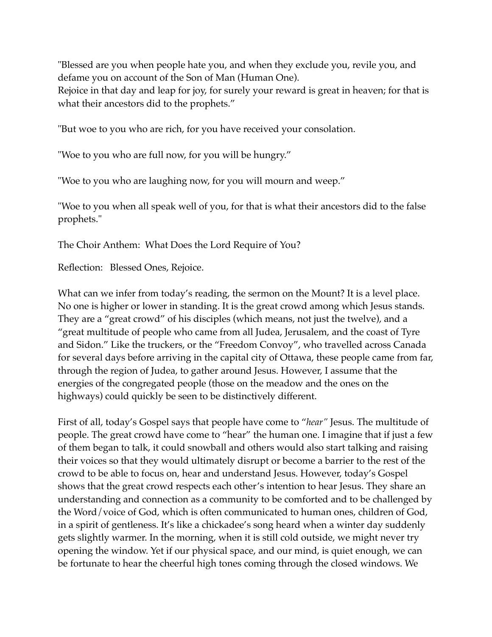"Blessed are you when people hate you, and when they exclude you, revile you, and defame you on account of the Son of Man (Human One).

Rejoice in that day and leap for joy, for surely your reward is great in heaven; for that is what their ancestors did to the prophets."

"But woe to you who are rich, for you have received your consolation.

"Woe to you who are full now, for you will be hungry."

"Woe to you who are laughing now, for you will mourn and weep."

"Woe to you when all speak well of you, for that is what their ancestors did to the false prophets."

The Choir Anthem: What Does the Lord Require of You?

Reflection: Blessed Ones, Rejoice.

What can we infer from today's reading, the sermon on the Mount? It is a level place. No one is higher or lower in standing. It is the great crowd among which Jesus stands. They are a "great crowd" of his disciples (which means, not just the twelve), and a "great multitude of people who came from all Judea, Jerusalem, and the coast of Tyre and Sidon." Like the truckers, or the "Freedom Convoy", who travelled across Canada for several days before arriving in the capital city of Ottawa, these people came from far, through the region of Judea, to gather around Jesus. However, I assume that the energies of the congregated people (those on the meadow and the ones on the highways) could quickly be seen to be distinctively different.

First of all, today's Gospel says that people have come to "*hear"* Jesus. The multitude of people. The great crowd have come to "hear" the human one. I imagine that if just a few of them began to talk, it could snowball and others would also start talking and raising their voices so that they would ultimately disrupt or become a barrier to the rest of the crowd to be able to focus on, hear and understand Jesus. However, today's Gospel shows that the great crowd respects each other's intention to hear Jesus. They share an understanding and connection as a community to be comforted and to be challenged by the Word/voice of God, which is often communicated to human ones, children of God, in a spirit of gentleness. It's like a chickadee's song heard when a winter day suddenly gets slightly warmer. In the morning, when it is still cold outside, we might never try opening the window. Yet if our physical space, and our mind, is quiet enough, we can be fortunate to hear the cheerful high tones coming through the closed windows. We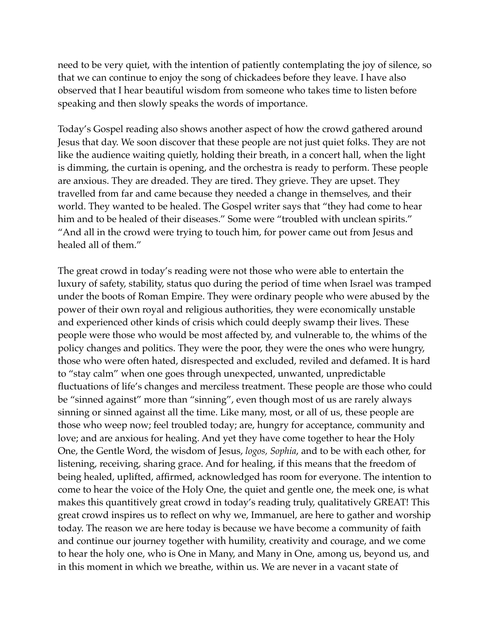need to be very quiet, with the intention of patiently contemplating the joy of silence, so that we can continue to enjoy the song of chickadees before they leave. I have also observed that I hear beautiful wisdom from someone who takes time to listen before speaking and then slowly speaks the words of importance.

Today's Gospel reading also shows another aspect of how the crowd gathered around Jesus that day. We soon discover that these people are not just quiet folks. They are not like the audience waiting quietly, holding their breath, in a concert hall, when the light is dimming, the curtain is opening, and the orchestra is ready to perform. These people are anxious. They are dreaded. They are tired. They grieve. They are upset. They travelled from far and came because they needed a change in themselves, and their world. They wanted to be healed. The Gospel writer says that "they had come to hear him and to be healed of their diseases." Some were "troubled with unclean spirits." "And all in the crowd were trying to touch him, for power came out from Jesus and healed all of them."

The great crowd in today's reading were not those who were able to entertain the luxury of safety, stability, status quo during the period of time when Israel was tramped under the boots of Roman Empire. They were ordinary people who were abused by the power of their own royal and religious authorities, they were economically unstable and experienced other kinds of crisis which could deeply swamp their lives. These people were those who would be most affected by, and vulnerable to, the whims of the policy changes and politics. They were the poor, they were the ones who were hungry, those who were often hated, disrespected and excluded, reviled and defamed. It is hard to "stay calm" when one goes through unexpected, unwanted, unpredictable fluctuations of life's changes and merciless treatment. These people are those who could be "sinned against" more than "sinning", even though most of us are rarely always sinning or sinned against all the time. Like many, most, or all of us, these people are those who weep now; feel troubled today; are, hungry for acceptance, community and love; and are anxious for healing. And yet they have come together to hear the Holy One, the Gentle Word, the wisdom of Jesus, *logos, Sophia*, and to be with each other, for listening, receiving, sharing grace. And for healing, if this means that the freedom of being healed, uplifted, affirmed, acknowledged has room for everyone. The intention to come to hear the voice of the Holy One, the quiet and gentle one, the meek one, is what makes this quantitively great crowd in today's reading truly, qualitatively GREAT! This great crowd inspires us to reflect on why we, Immanuel, are here to gather and worship today. The reason we are here today is because we have become a community of faith and continue our journey together with humility, creativity and courage, and we come to hear the holy one, who is One in Many, and Many in One, among us, beyond us, and in this moment in which we breathe, within us. We are never in a vacant state of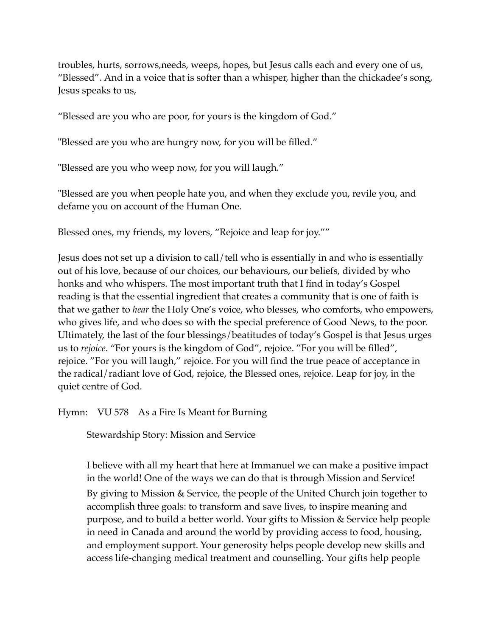troubles, hurts, sorrows,needs, weeps, hopes, but Jesus calls each and every one of us, "Blessed". And in a voice that is softer than a whisper, higher than the chickadee's song, Jesus speaks to us,

"Blessed are you who are poor, for yours is the kingdom of God."

"Blessed are you who are hungry now, for you will be filled."

"Blessed are you who weep now, for you will laugh."

"Blessed are you when people hate you, and when they exclude you, revile you, and defame you on account of the Human One.

Blessed ones, my friends, my lovers, "Rejoice and leap for joy.""

Jesus does not set up a division to call/tell who is essentially in and who is essentially out of his love, because of our choices, our behaviours, our beliefs, divided by who honks and who whispers. The most important truth that I find in today's Gospel reading is that the essential ingredient that creates a community that is one of faith is that we gather to *hear* the Holy One's voice, who blesses, who comforts, who empowers, who gives life, and who does so with the special preference of Good News, to the poor. Ultimately, the last of the four blessings/beatitudes of today's Gospel is that Jesus urges us to *rejoice*. "For yours is the kingdom of God", rejoice. "For you will be filled", rejoice. "For you will laugh," rejoice. For you will find the true peace of acceptance in the radical/radiant love of God, rejoice, the Blessed ones, rejoice. Leap for joy, in the quiet centre of God.

Hymn: VU 578 As a Fire Is Meant for Burning

Stewardship Story: Mission and Service

I believe with all my heart that here at Immanuel we can make a positive impact in the world! One of the ways we can do that is through Mission and Service! By giving to Mission & Service, the people of the United Church join together to accomplish three goals: to transform and save lives, to inspire meaning and purpose, and to build a better world. Your gifts to Mission & Service help people in need in Canada and around the world by providing access to food, housing, and employment support. Your generosity helps people develop new skills and access life-changing medical treatment and counselling. Your gifts help people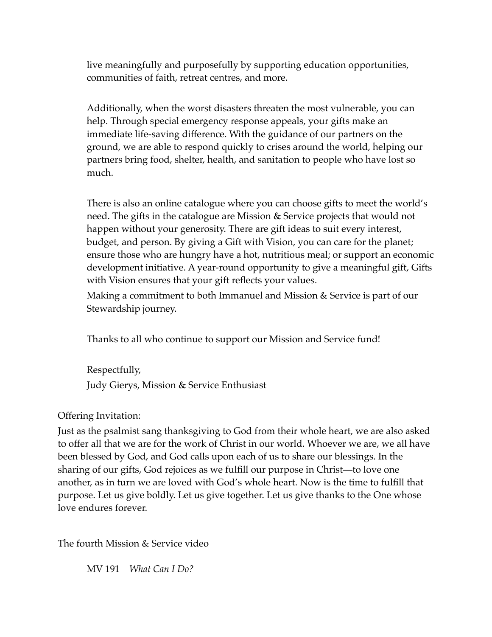live meaningfully and purposefully by supporting education opportunities, communities of faith, retreat centres, and more.

Additionally, when the worst disasters threaten the most vulnerable, you can help. Through special emergency response appeals, your gifts make an immediate life-saving difference. With the guidance of our partners on the ground, we are able to respond quickly to crises around the world, helping our partners bring food, shelter, health, and sanitation to people who have lost so much.

There is also an online catalogue where you can choose gifts to meet the world's need. The gifts in the catalogue are Mission & Service projects that would not happen without your generosity. There are gift ideas to suit every interest, budget, and person. By giving a Gift with Vision, you can care for the planet; ensure those who are hungry have a hot, nutritious meal; or support an economic development initiative. A year-round opportunity to give a meaningful gift, Gifts with Vision ensures that your gift reflects your values.

Making a commitment to both Immanuel and Mission & Service is part of our Stewardship journey.

Thanks to all who continue to support our Mission and Service fund!

Respectfully, Judy Gierys, Mission & Service Enthusiast

## Offering Invitation:

Just as the psalmist sang thanksgiving to God from their whole heart, we are also asked to offer all that we are for the work of Christ in our world. Whoever we are, we all have been blessed by God, and God calls upon each of us to share our blessings. In the sharing of our gifts, God rejoices as we fulfill our purpose in Christ—to love one another, as in turn we are loved with God's whole heart. Now is the time to fulfill that purpose. Let us give boldly. Let us give together. Let us give thanks to the One whose love endures forever.

The fourth Mission & Service video

MV 191 *What Can I Do?*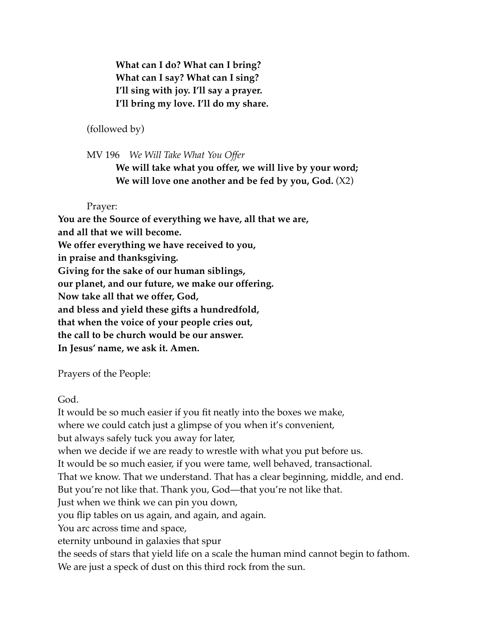**What can I do? What can I bring? What can I say? What can I sing? I'll sing with joy. I'll say a prayer. I'll bring my love. I'll do my share.** 

(followed by)

MV 196 *We Will Take What You Offer* 

**We will take what you offer, we will live by your word; We will love one another and be fed by you, God.** (X2)

Prayer:

**You are the Source of everything we have, all that we are, and all that we will become. We offer everything we have received to you, in praise and thanksgiving. Giving for the sake of our human siblings, our planet, and our future, we make our offering. Now take all that we offer, God, and bless and yield these gifts a hundredfold, that when the voice of your people cries out, the call to be church would be our answer. In Jesus' name, we ask it. Amen.**

Prayers of the People:

God.

It would be so much easier if you fit neatly into the boxes we make, where we could catch just a glimpse of you when it's convenient, but always safely tuck you away for later, when we decide if we are ready to wrestle with what you put before us. It would be so much easier, if you were tame, well behaved, transactional. That we know. That we understand. That has a clear beginning, middle, and end. But you're not like that. Thank you, God―that you're not like that. Just when we think we can pin you down, you flip tables on us again, and again, and again. You arc across time and space, eternity unbound in galaxies that spur the seeds of stars that yield life on a scale the human mind cannot begin to fathom. We are just a speck of dust on this third rock from the sun.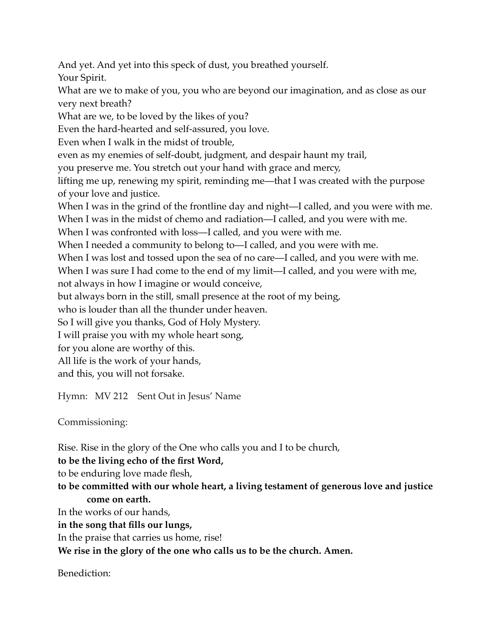And yet. And yet into this speck of dust, you breathed yourself. Your Spirit.

What are we to make of you, you who are beyond our imagination, and as close as our very next breath?

What are we, to be loved by the likes of you?

Even the hard-hearted and self-assured, you love.

Even when I walk in the midst of trouble,

even as my enemies of self-doubt, judgment, and despair haunt my trail,

you preserve me. You stretch out your hand with grace and mercy,

lifting me up, renewing my spirit, reminding me―that I was created with the purpose of your love and justice.

When I was in the grind of the frontline day and night—I called, and you were with me. When I was in the midst of chemo and radiation—I called, and you were with me.

When I was confronted with loss—I called, and you were with me.

When I needed a community to belong to—I called, and you were with me.

When I was lost and tossed upon the sea of no care—I called, and you were with me.

When I was sure I had come to the end of my limit—I called, and you were with me, not always in how I imagine or would conceive,

but always born in the still, small presence at the root of my being,

who is louder than all the thunder under heaven.

So I will give you thanks, God of Holy Mystery.

I will praise you with my whole heart song,

for you alone are worthy of this.

All life is the work of your hands,

and this, you will not forsake.

Hymn: MV 212 Sent Out in Jesus' Name

Commissioning:

Rise. Rise in the glory of the One who calls you and I to be church,

**to be the living echo of the first Word,**

to be enduring love made flesh,

**to be committed with our whole heart, a living testament of generous love and justice come on earth.**

In the works of our hands,

**in the song that fills our lungs,**

In the praise that carries us home, rise!

**We rise in the glory of the one who calls us to be the church. Amen.**

Benediction: